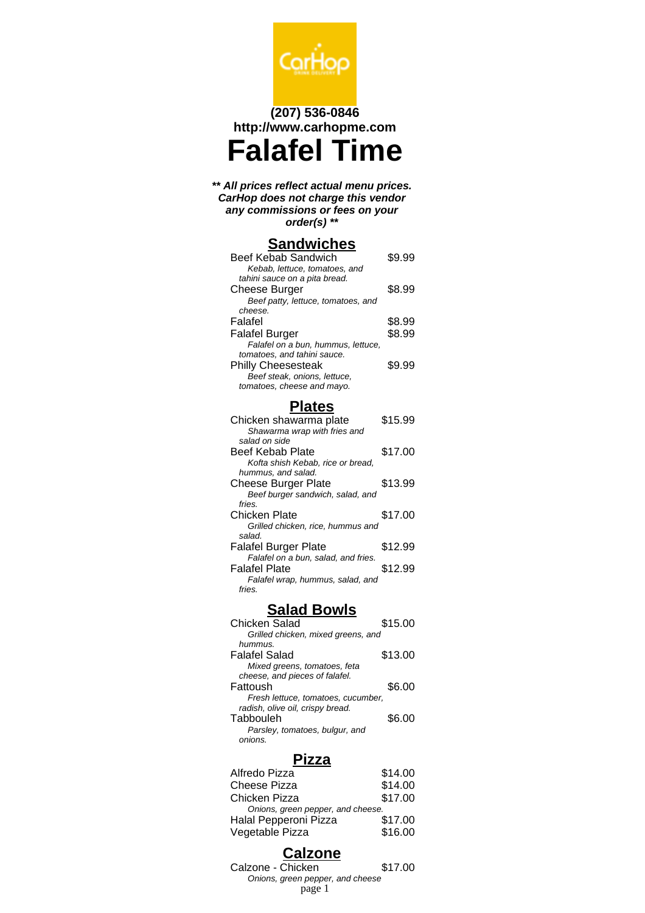

# **(207) 536-0846 http://www.carhopme.com Falafel Time**

#### **\*\* All prices reflect actual menu prices. CarHop does not charge this vendor any commissions or fees on your order(s) \*\***

# **Sandwiches**

| Beef Kebab Sandwich                | \$9.99 |
|------------------------------------|--------|
| Kebab, lettuce, tomatoes, and      |        |
| tahini sauce on a pita bread.      |        |
| <b>Cheese Burger</b>               | \$8.99 |
| Beef patty, lettuce, tomatoes, and |        |
| cheese.                            |        |
| Falafel                            | \$8.99 |
| <b>Falafel Burger</b>              | \$8.99 |
| Falafel on a bun, hummus, lettuce, |        |
| tomatoes, and tahini sauce.        |        |
| <b>Philly Cheesesteak</b>          | \$9.99 |
| Beef steak, onions, lettuce,       |        |
| tomatoes, cheese and mayo.         |        |

## **Plates**

| Chicken shawarma plate              | \$15.99 |
|-------------------------------------|---------|
| Shawarma wrap with fries and        |         |
| salad on side                       |         |
| Beef Kebab Plate                    | \$17.00 |
| Kofta shish Kebab, rice or bread,   |         |
| hummus, and salad.                  |         |
| Cheese Burger Plate                 | \$13.99 |
| Beef burger sandwich, salad, and    |         |
| fries.                              |         |
| <b>Chicken Plate</b>                | \$17.00 |
| Grilled chicken, rice, hummus and   |         |
| salad.                              |         |
| <b>Falafel Burger Plate</b>         | \$12.99 |
| Falafel on a bun, salad, and fries. |         |
| Falafel Plate                       | \$12.99 |
| Falafel wrap, hummus, salad, and    |         |
| fries.                              |         |

## **Salad Bowls**

| <b>Chicken Salad</b>               | \$15.00 |
|------------------------------------|---------|
| Grilled chicken, mixed greens, and |         |
| hummus.                            |         |
| <b>Falafel Salad</b>               | \$13.00 |
| Mixed greens, tomatoes, feta       |         |
| cheese, and pieces of falafel.     |         |
| Fattoush                           | \$6.00  |
| Fresh lettuce, tomatoes, cucumber, |         |
| radish, olive oil, crispy bread.   |         |
| Tabbouleh                          | \$6.00  |
| Parsley, tomatoes, bulgur, and     |         |
| onions.                            |         |

#### **Pizza**

| Alfredo Pizza                     | \$14.00 |
|-----------------------------------|---------|
| <b>Cheese Pizza</b>               | \$14.00 |
| Chicken Pizza                     | \$17.00 |
| Onions, green pepper, and cheese. |         |
| Halal Pepperoni Pizza             | \$17.00 |
| Vegetable Pizza                   | \$16.00 |
|                                   |         |

## **Calzone**

Calzone - Chicken \$17.00 Onions, green pepper, and cheese page 1